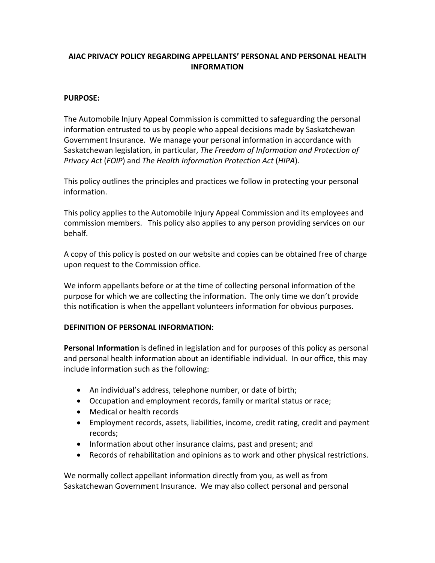# **AIAC PRIVACY POLICY REGARDING APPELLANTS' PERSONAL AND PERSONAL HEALTH INFORMATION**

## **PURPOSE:**

The Automobile Injury Appeal Commission is committed to safeguarding the personal information entrusted to us by people who appeal decisions made by Saskatchewan Government Insurance. We manage your personal information in accordance with Saskatchewan legislation, in particular, *The Freedom of Information and Protection of Privacy Act* (*FOIP*) and *The Health Information Protection Act* (*HIPA*).

This policy outlines the principles and practices we follow in protecting your personal information.

This policy applies to the Automobile Injury Appeal Commission and its employees and commission members. This policy also applies to any person providing services on our behalf.

A copy of this policy is posted on our website and copies can be obtained free of charge upon request to the Commission office.

We inform appellants before or at the time of collecting personal information of the purpose for which we are collecting the information. The only time we don't provide this notification is when the appellant volunteers information for obvious purposes.

#### **DEFINITION OF PERSONAL INFORMATION:**

**Personal Information** is defined in legislation and for purposes of this policy as personal and personal health information about an identifiable individual. In our office, this may include information such as the following:

- An individual's address, telephone number, or date of birth;
- Occupation and employment records, family or marital status or race;
- Medical or health records
- Employment records, assets, liabilities, income, credit rating, credit and payment records;
- Information about other insurance claims, past and present; and
- Records of rehabilitation and opinions as to work and other physical restrictions.

We normally collect appellant information directly from you, as well as from Saskatchewan Government Insurance. We may also collect personal and personal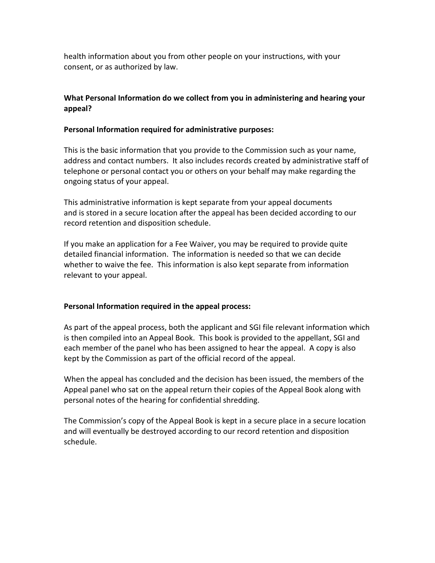health information about you from other people on your instructions, with your consent, or as authorized by law.

# **What Personal Information do we collect from you in administering and hearing your appeal?**

## **Personal Information required for administrative purposes:**

This is the basic information that you provide to the Commission such as your name, address and contact numbers. It also includes records created by administrative staff of telephone or personal contact you or others on your behalf may make regarding the ongoing status of your appeal.

This administrative information is kept separate from your appeal documents and is stored in a secure location after the appeal has been decided according to our record retention and disposition schedule.

If you make an application for a Fee Waiver, you may be required to provide quite detailed financial information. The information is needed so that we can decide whether to waive the fee. This information is also kept separate from information relevant to your appeal.

## **Personal Information required in the appeal process:**

As part of the appeal process, both the applicant and SGI file relevant information which is then compiled into an Appeal Book. This book is provided to the appellant, SGI and each member of the panel who has been assigned to hear the appeal. A copy is also kept by the Commission as part of the official record of the appeal.

When the appeal has concluded and the decision has been issued, the members of the Appeal panel who sat on the appeal return their copies of the Appeal Book along with personal notes of the hearing for confidential shredding.

The Commission's copy of the Appeal Book is kept in a secure place in a secure location and will eventually be destroyed according to our record retention and disposition schedule.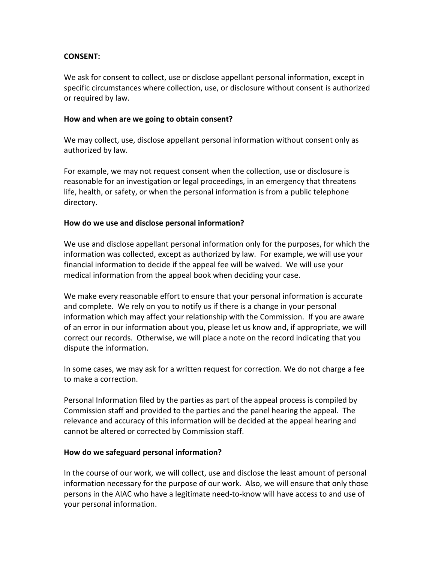## **CONSENT:**

We ask for consent to collect, use or disclose appellant personal information, except in specific circumstances where collection, use, or disclosure without consent is authorized or required by law.

#### **How and when are we going to obtain consent?**

We may collect, use, disclose appellant personal information without consent only as authorized by law.

For example, we may not request consent when the collection, use or disclosure is reasonable for an investigation or legal proceedings, in an emergency that threatens life, health, or safety, or when the personal information is from a public telephone directory.

#### **How do we use and disclose personal information?**

We use and disclose appellant personal information only for the purposes, for which the information was collected, except as authorized by law. For example, we will use your financial information to decide if the appeal fee will be waived. We will use your medical information from the appeal book when deciding your case.

We make every reasonable effort to ensure that your personal information is accurate and complete. We rely on you to notify us if there is a change in your personal information which may affect your relationship with the Commission. If you are aware of an error in our information about you, please let us know and, if appropriate, we will correct our records. Otherwise, we will place a note on the record indicating that you dispute the information.

In some cases, we may ask for a written request for correction. We do not charge a fee to make a correction.

Personal Information filed by the parties as part of the appeal process is compiled by Commission staff and provided to the parties and the panel hearing the appeal. The relevance and accuracy of this information will be decided at the appeal hearing and cannot be altered or corrected by Commission staff.

#### **How do we safeguard personal information?**

In the course of our work, we will collect, use and disclose the least amount of personal information necessary for the purpose of our work. Also, we will ensure that only those persons in the AIAC who have a legitimate need-to-know will have access to and use of your personal information.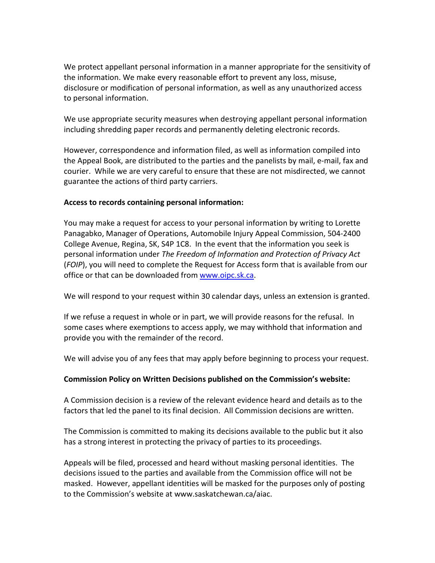We protect appellant personal information in a manner appropriate for the sensitivity of the information. We make every reasonable effort to prevent any loss, misuse, disclosure or modification of personal information, as well as any unauthorized access to personal information.

We use appropriate security measures when destroying appellant personal information including shredding paper records and permanently deleting electronic records.

However, correspondence and information filed, as well as information compiled into the Appeal Book, are distributed to the parties and the panelists by mail, e-mail, fax and courier. While we are very careful to ensure that these are not misdirected, we cannot guarantee the actions of third party carriers.

## **Access to records containing personal information:**

You may make a request for access to your personal information by writing to Lorette Panagabko, Manager of Operations, Automobile Injury Appeal Commission, 504-2400 College Avenue, Regina, SK, S4P 1C8. In the event that the information you seek is personal information under *The Freedom of Information and Protection of Privacy Act* (*FOIP*), you will need to complete the Request for Access form that is available from our office or that can be downloaded from [www.oipc.sk.ca.](http://www.oipc.sk.ca/)

We will respond to your request within 30 calendar days, unless an extension is granted.

If we refuse a request in whole or in part, we will provide reasons for the refusal. In some cases where exemptions to access apply, we may withhold that information and provide you with the remainder of the record.

We will advise you of any fees that may apply before beginning to process your request.

## **Commission Policy on Written Decisions published on the Commission's website:**

A Commission decision is a review of the relevant evidence heard and details as to the factors that led the panel to its final decision. All Commission decisions are written.

The Commission is committed to making its decisions available to the public but it also has a strong interest in protecting the privacy of parties to its proceedings.

Appeals will be filed, processed and heard without masking personal identities. The decisions issued to the parties and available from the Commission office will not be masked. However, appellant identities will be masked for the purposes only of posting to the Commission's website at www.saskatchewan.ca/aiac.